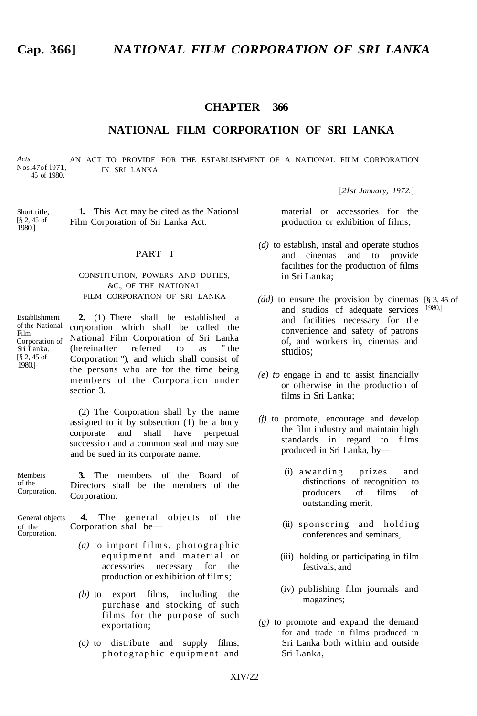### **CHAPTER 366**

### **NATIONAL FILM CORPORATION OF SRI LANKA**

*Acts* Nos.47of l971, 45 of 1980.

AN ACT TO PROVIDE FOR THE ESTABLISHMENT OF A NATIONAL FILM CORPORATION IN SRI LANKA.

[*2lst January, 1972.*]

Short title [§ 2, 45 of  $1980.1$ 

**1.** This Act may be cited as the National Film Corporation of Sri Lanka Act.

#### PART I

#### CONSTITUTION, POWERS AND DUTIES, &C., OF THE NATIONAL FILM CORPORATION OF SRI LANKA

Establishment of the National Film Corporation of Sri Lanka. [§ 2, 45 of 1980.]

**2.** (1) There shall be established a corporation which shall be called the National Film Corporation of Sri Lanka<br>
(hereinafter referred to as "the  $(hereinafter)$  referred to as Corporation "), and which shall consist of the persons who are for the time being members of the Corporation under section 3.

(2) The Corporation shall by the name assigned to it by subsection (1) be a body corporate and shall have perpetual succession and a common seal and may sue and be sued in its corporate name.

of the Board of

| <b>Members</b><br>of the<br>Corporation. |              |  | 3. The members of the Board of        |  |  |  |  |  |  |
|------------------------------------------|--------------|--|---------------------------------------|--|--|--|--|--|--|
|                                          |              |  | Directors shall be the members of the |  |  |  |  |  |  |
|                                          | Corporation. |  |                                       |  |  |  |  |  |  |

General objects **4.** The general objects of the of the Corporation.<br>Corporation shall be— Corporation shall be—

- *(a)* to import films, photographic equipment and material or accessories necessary for the production or exhibition of films;
- *(b)* to export films, including the purchase and stocking of such films for the purpose of such exportation;
- *(c)* to distribute and supply films, photographic equipment and

material or accessories for the production or exhibition of films;

- *(d)* to establish, instal and operate studios and cinemas and to provide facilities for the production of films in Sri Lanka;
- *(dd)* to ensure the provision by cinemas [§ 3, 45 of and studios of adequate services 1980.] and facilities necessary for the convenience and safety of patrons of, and workers in, cinemas and studios;
- *(e) to* engage in and to assist financially or otherwise in the production of films in Sri Lanka;
- *(f)* to promote, encourage and develop the film industry and maintain high standards in regard to films produced in Sri Lanka, by—
	- (i) awarding prizes and distinctions of recognition to producers of films of outstanding merit,
	- (ii) sponsoring and holding conferences and seminars,
	- (iii) holding or participating in film festivals, and
	- (iv) publishing film journals and magazines;
- *(g)* to promote and expand the demand for and trade in films produced in Sri Lanka both within and outside Sri Lanka,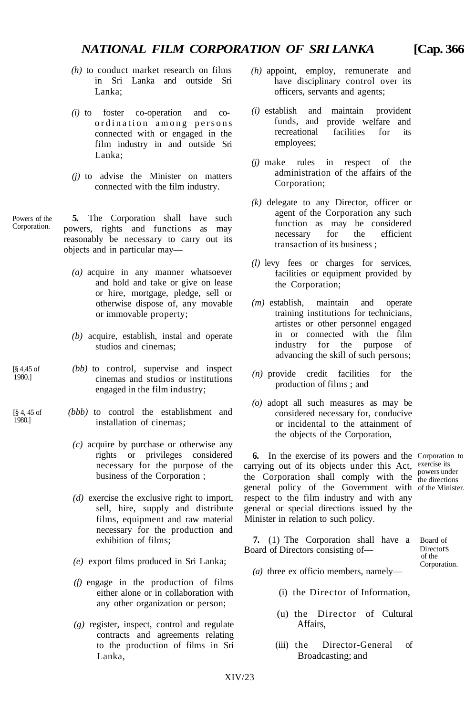- *(h)* to conduct market research on films in Sri Lanka and outside Sri Lanka;
- *(i)* to foster co-operation and coordination among persons connected with or engaged in the film industry in and outside Sri Lanka;
- *(j)* to advise the Minister on matters connected with the film industry.
- Powers of the **5.** The Corporation shall have such powers, rights and functions as may reasonably be necessary to carry out its objects and in particular may—
	- *(a)* acquire in any manner whatsoever and hold and take or give on lease or hire, mortgage, pledge, sell or otherwise dispose of, any movable or immovable property;
	- *(b)* acquire, establish, instal and operate studios and cinemas;
	- *(bb)* to control, supervise and inspect cinemas and studios or institutions engaged in the film industry;
		- *(bbb)* to control the establishment and installation of cinemas;
			- *(c)* acquire by purchase or otherwise any rights or privileges considered necessary for the purpose of the business of the Corporation ;
			- *(d)* exercise the exclusive right to import, sell, hire, supply and distribute films, equipment and raw material necessary for the production and exhibition of films;
			- *(e)* export films produced in Sri Lanka;
			- *(f)* engage in the production of films either alone or in collaboration with any other organization or person;
			- *(g)* register, inspect, control and regulate contracts and agreements relating to the production of films in Sri Lanka,
- *(h)* appoint, employ, remunerate and have disciplinary control over its officers, servants and agents;
- *(i)* establish and maintain provident funds, and provide welfare and recreational employees; facilities for its
- *(j)* make rules in respect of the administration of the affairs of the Corporation;
- *(k)* delegate to any Director, officer or agent of the Corporation any such function as may be considered necessary for the efficient transaction of its business ;
- *(l)* levy fees or charges for services, facilities or equipment provided by the Corporation;
- *(m)* establish, maintain and operate training institutions for technicians, artistes or other personnel engaged in or connected with the film industry for the purpose of advancing the skill of such persons;
- *(n)* provide credit facilities for the production of films ; and
- *(o)* adopt all such measures as may be considered necessary for, conducive or incidental to the attainment of the objects of the Corporation,

**6.** In the exercise of its powers and the Corporation to carrying out of its objects under this Act, exercise its the Corporation shall comply with the  $_{the\, directions}$ general policy of the Government with of the Minister. respect to the film industry and with any general or special directions issued by the Minister in relation to such policy.

**7.** (1) The Corporation shall have a Board of Directors consisting of Directors Board of Directors consisting of— Directors of the

Corporation.

the directions

- *(a)* three ex officio members, namely—
	- (i) the Director of Information,
	- (u) the Director of Cultural Affairs,
	- (iii) the Director-General of Broadcasting; and

Corporation.

[§ 4,45 of 1980.]

[§ 4, 45 of 1980.]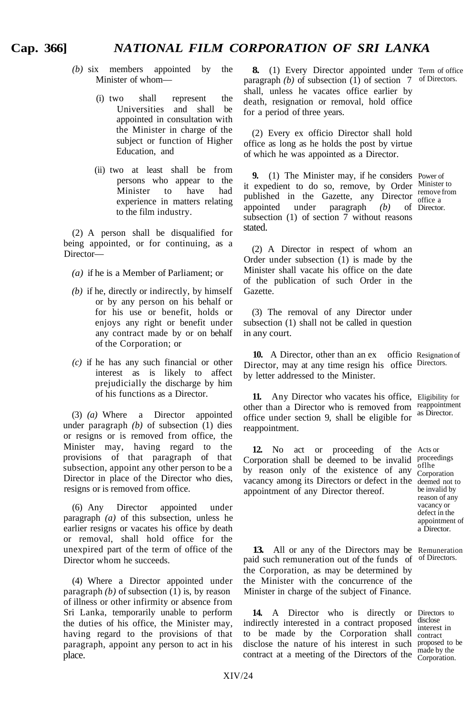# **Cap. 366]** *NATIONAL FILM CORPORATION OF SRI LANKA*

- *(b)* six members appointed by the Minister of whom—
	- (i) two shall represent the Universities and shall be appointed in consultation with the Minister in charge of the subject or function of Higher Education, and
	- (ii) two at least shall be from persons who appear to the Minister to have had experience in matters relating to the film industry.

(2) A person shall be disqualified for being appointed, or for continuing, as a Director—

- *(a)* if he is a Member of Parliament; or
- *(b)* if he, directly or indirectly, by himself or by any person on his behalf or for his use or benefit, holds or enjoys any right or benefit under any contract made by or on behalf of the Corporation; or
- *(c)* if he has any such financial or other interest as is likely to affect prejudicially the discharge by him of his functions as a Director.

(3) *(a)* Where a Director appointed under paragraph *(b)* of subsection (1) dies or resigns or is removed from office, the Minister may, having regard to the provisions of that paragraph of that subsection, appoint any other person to be a Director in place of the Director who dies, resigns or is removed from office.

(6) Any Director appointed under paragraph *(a)* of this subsection, unless he earlier resigns or vacates his office by death or removal, shall hold office for the unexpired part of the term of office of the Director whom he succeeds.

(4) Where a Director appointed under paragraph *(b)* of subsection (1) is, by reason of illness or other infirmity or absence from Sri Lanka, temporarily unable to perform the duties of his office, the Minister may, having regard to the provisions of that paragraph, appoint any person to act in his place.

**8.** (1) Every Director appointed under Term of office paragraph (b) of subsection  $(1)$  of section 7 of Directors. shall, unless he vacates office earlier by death, resignation or removal, hold office for a period of three years.

(2) Every ex officio Director shall hold office as long as he holds the post by virtue of which he was appointed as a Director.

**9.** (1) The Minister may, if he considers Power of it expedient to do so, remove, by Order Minister to remove from published in the Gazette, any Director effice a Director. appointed under paragraph (b) subsection (1) of section 7 without reasons stated.

(2) A Director in respect of whom an Order under subsection (1) is made by the Minister shall vacate his office on the date of the publication of such Order in the Gazette.

(3) The removal of any Director under subsection (1) shall not be called in question in any court.

**10.** A Director, other than an ex officio Resignation of Director, may at any time resign his office Directors. by letter addressed to the Minister.

**11.** Any Director who vacates his office, Eligibility for other than a Director who is removed from reappointment office under section 9, shall be eligible for reappointment.

12. No act or proceeding of the Acts or Corporation shall be deemed to be invalid proceedings by reason only of the existence of any  $\frac{\text{of the}}{\text{Corro}}$ vacancy among its Directors or defect in the deemed not to appointment of any Director thereof.

as Director.

Corporation be invalid by reason of any vacancy or defect in the appointment of a Director.

**13.** All or any of the Directors may be Remuneration of steps of of Directors. paid such remuneration out of the funds of the Corporation, as may be determined by the Minister with the concurrence of the Minister in charge of the subject of Finance.

14. A Director who is directly or Directors to 14. A Director who is directly or Directors to indirectly interested in a contract proposed disclose interest in to be made by the Corporation shall contract disclose the nature of his interest in such proposed to be experienced to be made by the contract at a meeting of the Directors of the Corporation.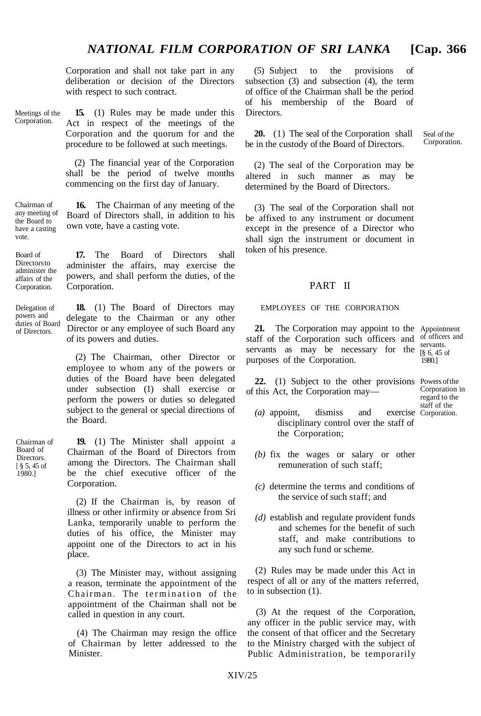Corporation and shall not take part in any deliberation or decision of the Directors with respect to such contract.

Meetings of the Corporation.

Chairman of

the Board to

vote.

Board of **Directors to** administer the affairs of the Corporation.

Delegation of powers and duties of Board of Directors.

**15.** (1) Rules may be made under this Act in respect of the meetings of the Corporation and the quorum for and the procedure to be followed at such meetings.

(2) The financial year of the Corporation shall be the period of twelve months commencing on the first day of January.

any meeting of have a casting **16.** The Chairman of any meeting of the Board of Directors shall, in addition to his own vote, have a casting vote.

> **17.** The Board of Directors shall administer the affairs, may exercise the powers, and shall perform the duties, of the Corporation.

**18.** (1) The Board of Directors may delegate to the Chairman or any other Director or any employee of such Board any of its powers and duties.

(2) The Chairman, other Director or employee to whom any of the powers or duties of the Board have been delegated under subsection (1) shall exercise or perform the powers or duties so delegated subject to the general or special directions of the Board.

**19.** (1) The Minister shall appoint a Chairman of the Board of Directors from among the Directors. The Chairman shall be the chief executive officer of the Corporation.

(2) If the Chairman is, by reason of illness or other infirmity or absence from Sri Lanka, temporarily unable to perform the duties of his office, the Minister may appoint one of the Directors to act in his place.

(3) The Minister may, without assigning a reason, terminate the appointment of the Chairman. The termination of the appointment of the Chairman shall not be called in question in any court.

(4) The Chairman may resign the office of Chairman by letter addressed to the Minister.

(5) Subject to the provisions of subsection (3) and subsection (4), the term of office of the Chairman shall be the period of his membership of the Board of Directors.

**20.** (1) The seal of the Corporation shall Seal of the in the custody of the Board of Directors Corporation. be in the custody of the Board of Directors.

(2) The seal of the Corporation may be altered in such manner as may be determined by the Board of Directors.

(3) The seal of the Corporation shall not be affixed to any instrument or document except in the presence of a Director who shall sign the instrument or document in token of his presence.

#### PART II

#### EMPLOYEES OF THE CORPORATION

21. The Corporation may appoint to the Appointment staff of the Corporation such officers and of officers and servants as may be necessary for the purposes of the Corporation. servants. [§ 6, 45 of

22. (1) Subject to the other provisions Powers of the of this Act, the Corporation may—

Corporation in regard to the staff of the exercise Corporation.

1980.]

- $(a)$  appoint, dismiss and disciplinary control over the staff of the Corporation;
- *(b)* fix the wages or salary or other remuneration of such staff;
- *(c)* determine the terms and conditions of the service of such staff; and
- *(d)* establish and regulate provident funds and schemes for the benefit of such staff, and make contributions to any such fund or scheme.

(2) Rules may be made under this Act in respect of all or any of the matters referred, to in subsection (1).

(3) At the request of the Corporation, any officer in the public service may, with the consent of that officer and the Secretary to the Ministry charged with the subject of Public Administration, be temporarily

Chairman of Board of **Directors** [ § 5, 45 of 1980.]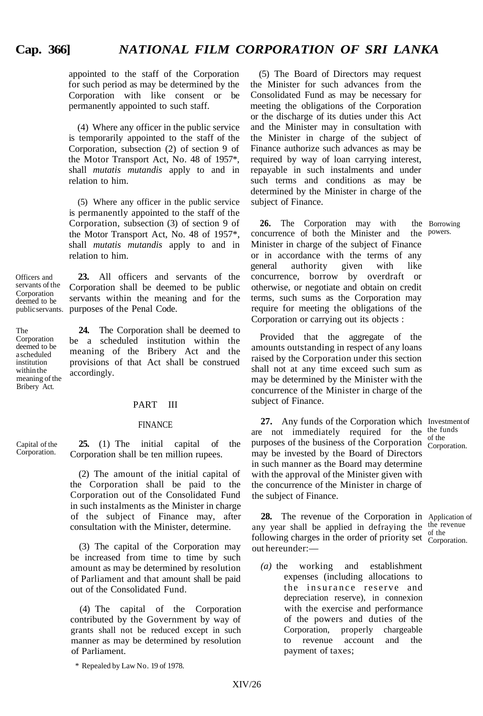## **Cap. 366]** *NATIONAL FILM CORPORATION OF SRI LANKA*

appointed to the staff of the Corporation for such period as may be determined by the Corporation with like consent or be permanently appointed to such staff.

(4) Where any officer in the public service is temporarily appointed to the staff of the Corporation, subsection (2) of section 9 of the Motor Transport Act, No. 48 of 1957\*, shall *mutatis mutandis* apply to and in relation to him.

(5) Where any officer in the public service is permanently appointed to the staff of the Corporation, subsection (3) of section 9 of the Motor Transport Act, No. 48 of 1957\*, shall *mutatis mutandis* apply to and in relation to him.

Officers and servants of the Corporation deemed to be public servants. purposes of the Penal Code. **23.** All officers and servants of the Corporation shall be deemed to be public servants within the meaning and for the

meaning of the **24.** The Corporation shall be deemed to be a scheduled institution within the meaning of the Bribery Act and the provisions of that Act shall be construed accordingly.

PART III

#### FINANCE

Capital of the Corporation.

Bribery Act.

The Corporation deemed to be a scheduled institution within the

> **25.** (1) The initial capital of the Corporation shall be ten million rupees.

(2) The amount of the initial capital of the Corporation shall be paid to the Corporation out of the Consolidated Fund in such instalments as the Minister in charge of the subject of Finance may, after consultation with the Minister, determine.

(3) The capital of the Corporation may be increased from time to time by such amount as may be determined by resolution of Parliament and that amount shall be paid out of the Consolidated Fund.

(4) The capital of the Corporation contributed by the Government by way of grants shall not be reduced except in such manner as may be determined by resolution of Parliament.

\* Repealed by Law No. 19 of 1978.

(5) The Board of Directors may request the Minister for such advances from the Consolidated Fund as may be necessary for meeting the obligations of the Corporation or the discharge of its duties under this Act and the Minister may in consultation with the Minister in charge of the subject of Finance authorize such advances as may be required by way of loan carrying interest, repayable in such instalments and under such terms and conditions as may be determined by the Minister in charge of the subject of Finance.

**26.** The Corporation may with the Borrowing neurrence of both the Minister and the powers. concurrence of both the Minister and the Minister in charge of the subject of Finance or in accordance with the terms of any general authority given with like concurrence, borrow by overdraft or otherwise, or negotiate and obtain on credit terms, such sums as the Corporation may require for meeting the obligations of the Corporation or carrying out its objects :

Provided that the aggregate of the amounts outstanding in respect of any loans raised by the Corporation under this section shall not at any time exceed such sum as may be determined by the Minister with the concurrence of the Minister in charge of the subject of Finance.

27. Any funds of the Corporation which Investment of are not immediately required for the  $\frac{\text{the funds}}{\text{c}}$ purposes of the business of the Corporation  $\frac{1}{\text{Corro}}$ may be invested by the Board of Directors in such manner as the Board may determine with the approval of the Minister given with the concurrence of the Minister in charge of the subject of Finance.

Corporation.

Corporation.

**28.** The revenue of the Corporation in Application of any year shall be applied in defraying the the revenue following charges in the order of priority set  $\frac{d}{d}$  corne out hereunder:—

*(a)* the working and establishment expenses (including allocations to the insurance reserve and depreciation reserve), in connexion with the exercise and performance of the powers and duties of the Corporation, properly chargeable to revenue account and the payment of taxes;

XIV/26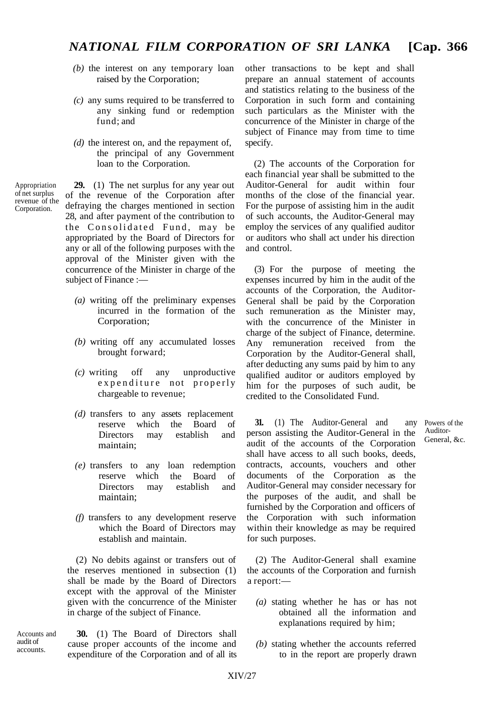- *(b)* the interest on any temporary loan raised by the Corporation;
- *(c)* any sums required to be transferred to any sinking fund or redemption fund; and
- *(d)* the interest on, and the repayment of, the principal of any Government loan to the Corporation.

Appropriation of net surplus revenue of the Corporation.

**29.** (1) The net surplus for any year out of the revenue of the Corporation after defraying the charges mentioned in section 28, and after payment of the contribution to the Consolidated Fund, may be appropriated by the Board of Directors for any or all of the following purposes with the approval of the Minister given with the concurrence of the Minister in charge of the subject of Finance :—

- *(a)* writing off the preliminary expenses incurred in the formation of the Corporation;
- *(b)* writing off any accumulated losses brought forward;
- *(c)* writing off any unproductive expenditure not properly chargeable to revenue;
- *(d)* transfers to any assets replacement reserve which the Board of Directors may establish and maintain;
- *(e)* transfers to any reserve which Directors may maintain; loan redemption the Board of establish and
- *(f)* transfers to any development reserve which the Board of Directors may establish and maintain.

(2) No debits against or transfers out of the reserves mentioned in subsection (1) shall be made by the Board of Directors except with the approval of the Minister given with the concurrence of the Minister in charge of the subject of Finance.

**30.** (1) The Board of Directors shall cause proper accounts of the income and expenditure of the Corporation and of all its Accounts and audit of accounts.

other transactions to be kept and shall prepare an annual statement of accounts and statistics relating to the business of the Corporation in such form and containing such particulars as the Minister with the concurrence of the Minister in charge of the subject of Finance may from time to time specify.

(2) The accounts of the Corporation for each financial year shall be submitted to the Auditor-General for audit within four months of the close of the financial year. For the purpose of assisting him in the audit of such accounts, the Auditor-General may employ the services of any qualified auditor or auditors who shall act under his direction and control.

(3) For the purpose of meeting the expenses incurred by him in the audit of the accounts of the Corporation, the Auditor-General shall be paid by the Corporation such remuneration as the Minister may, with the concurrence of the Minister in charge of the subject of Finance, determine. Any remuneration received from the Corporation by the Auditor-General shall, after deducting any sums paid by him to any qualified auditor or auditors employed by him for the purposes of such audit, be credited to the Consolidated Fund.

**31.** (1) The Auditor-General and any Powers of the person assisting the Auditor-General in the audit of the accounts of the Corporation shall have access to all such books, deeds, contracts, accounts, vouchers and other documents of the Corporation as the Auditor-General may consider necessary for the purposes of the audit, and shall be furnished by the Corporation and officers of the Corporation with such information within their knowledge as may be required for such purposes.

(2) The Auditor-General shall examine the accounts of the Corporation and furnish a report:—

- *(a)* stating whether he has or has not obtained all the information and explanations required by him;
- *(b)* stating whether the accounts referred to in the report are properly drawn

General, &c.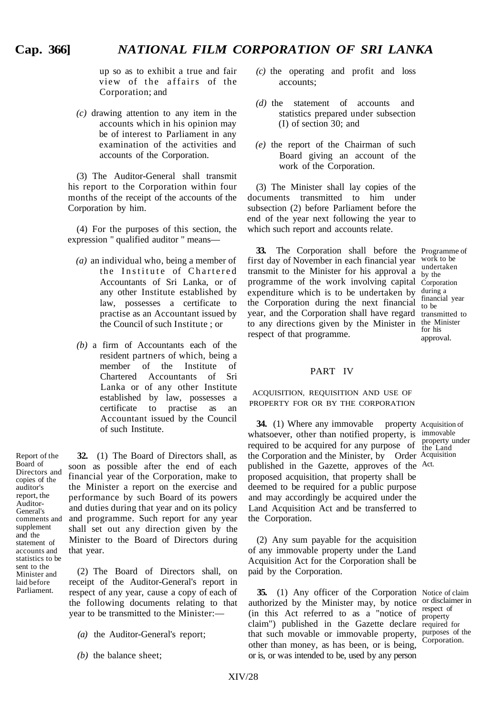up so as to exhibit a true and fair view of the affairs of the Corporation; and

*(c)* drawing attention to any item in the accounts which in his opinion may be of interest to Parliament in any examination of the activities and accounts of the Corporation.

(3) The Auditor-General shall transmit his report to the Corporation within four months of the receipt of the accounts of the Corporation by him.

(4) For the purposes of this section, the expression " qualified auditor " means—

- *(a)* an individual who, being a member of the Institute of Chartered Accountants of Sri Lanka, or of any other Institute established by law, possesses a certificate to practise as an Accountant issued by the Council of such Institute ; or
- *(b)* a firm of Accountants each of the resident partners of which, being a member of the Institute of Chartered Accountants of Sri Lanka or of any other Institute established by law, possesses a certificate to practise as an Accountant issued by the Council of such Institute.

Report of the Board of Directors and copies of the auditor's report, the Auditor-General's comments and supplement and the statement of accounts and statistics to be sent to the Minister and laid before Parliament.

**32.** (1) The Board of Directors shall, as soon as possible after the end of each financial year of the Corporation, make to the Minister a report on the exercise and performance by such Board of its powers and duties during that year and on its policy and programme. Such report for any year shall set out any direction given by the Minister to the Board of Directors during that year.

(2) The Board of Directors shall, on receipt of the Auditor-General's report in respect of any year, cause a copy of each of the following documents relating to that year to be transmitted to the Minister:—

- *(a)* the Auditor-General's report;
- *(b)* the balance sheet;
- *(c)* the operating and profit and loss accounts;
- *(d)* the statement of accounts and statistics prepared under subsection (I) of section 30; and
- *(e)* the report of the Chairman of such Board giving an account of the work of the Corporation.

(3) The Minister shall lay copies of the documents transmitted to him under subsection (2) before Parliament before the end of the year next following the year to which such report and accounts relate.

**33.** The Corporation shall before the Programme of first day of November in each financial year work to be transmit to the Minister for his approval  $\alpha$  by the undertaken programme of the work involving capital Corporation expenditure which is to be undertaken by the Corporation during the next financial year, and the Corporation shall have regard transmitted to to any directions given by the Minister in the Minister respect of that programme.

by the during a financial year to be for his approval.

### PART IV

ACQUISITION, REQUISITION AND USE OF PROPERTY FOR OR BY THE CORPORATION

**34.** (1) Where any immovable property Acquisition of whatsoever, other than notified property, is immovable required to be acquired for any purpose of the Land required to be acquired for any purpose of the Corporation and the Minister, by Order Acquisition published in the Gazette, approves of the Act. proposed acquisition, that property shall be deemed to be required for a public purpose and may accordingly be acquired under the Land Acquisition Act and be transferred to the Corporation.

(2) Any sum payable for the acquisition of any immovable property under the Land Acquisition Act for the Corporation shall be paid by the Corporation.

**35.** (1) Any officer of the Corporation Notice of claim **35.** (1) Any officer of the Corporation Notice of claim authorized by the Minister may, by notice or disclaimer in  $\frac{1}{2}$  (in this Act referred to as a "notice of  $\frac{1}{2}$  respect of claim") published in the Gazette declare required for that such movable or immovable property, purposes of the other than money, as has been, or is being, or is, or was intended to be, used by any person

property Corporation.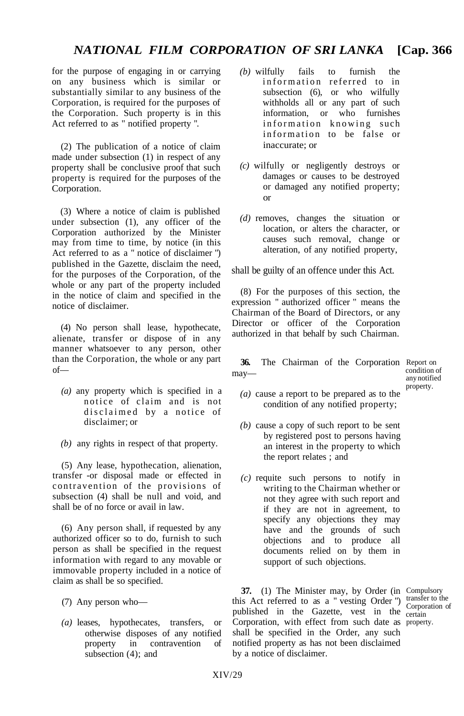for the purpose of engaging in or carrying on any business which is similar or substantially similar to any business of the Corporation, is required for the purposes of the Corporation. Such property is in this Act referred to as " notified property ".

(2) The publication of a notice of claim made under subsection (1) in respect of any property shall be conclusive proof that such property is required for the purposes of the Corporation.

(3) Where a notice of claim is published under subsection (1), any officer of the Corporation authorized by the Minister may from time to time, by notice (in this Act referred to as a " notice of disclaimer ") published in the Gazette, disclaim the need, for the purposes of the Corporation, of the whole or any part of the property included in the notice of claim and specified in the notice of disclaimer.

(4) No person shall lease, hypothecate, alienate, transfer or dispose of in any manner whatsoever to any person, other than the Corporation, the whole or any part of—

- *(a)* any property which is specified in a notice of claim and is not disclaimed by a notice of disclaimer; or
- *(b)* any rights in respect of that property.

(5) Any lease, hypothecation, alienation, transfer -or disposal made or effected in contravention of the provisions of subsection (4) shall be null and void, and shall be of no force or avail in law.

(6) Any person shall, if requested by any authorized officer so to do, furnish to such person as shall be specified in the request information with regard to any movable or immovable property included in a notice of claim as shall be so specified.

- (7) Any person who—
- *(a)* leases, hypothecates, transfers, or otherwise disposes of any notified property in contravention of subsection  $(4)$ ; and
- *(b)* wilfully fails to furnish the information referred to in subsection (6), or who wilfully withholds all or any part of such information, or who furnishes information knowing such information to be false or inaccurate; or
- *(c)* wilfully or negligently destroys or damages or causes to be destroyed or damaged any notified property; or
- *(d)* removes, changes the situation or location, or alters the character, or causes such removal, change or alteration, of any notified property,

shall be guilty of an offence under this Act.

(8) For the purposes of this section, the expression " authorized officer " means the Chairman of the Board of Directors, or any Director or officer of the Corporation authorized in that behalf by such Chairman.

**36.** The Chairman of the Corporation Report on may—

condition of any notified property.

- *(a)* cause a report to be prepared as to the condition of any notified property;
- *(b)* cause a copy of such report to be sent by registered post to persons having an interest in the property to which the report relates ; and
- *(c)* requite such persons to notify in writing to the Chairman whether or not they agree with such report and if they are not in agreement, to specify any objections they may have and the grounds of such objections and to produce all documents relied on by them in support of such objections.

**37.** (1) The Minister may, by Order (in Compulsory this Act referred to as a " vesting Order ") transfer to the published in the Gazette, vest in the certain Corporation, with effect from such date as property. shall be specified in the Order, any such notified property as has not been disclaimed by a notice of disclaimer.

Corporation of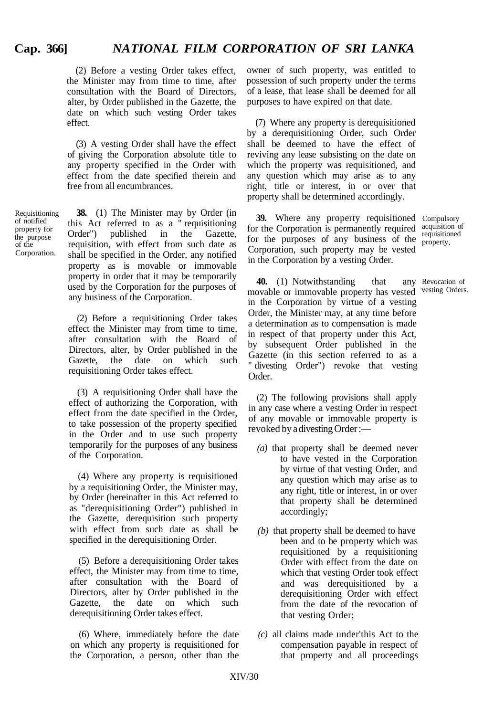(2) Before a vesting Order takes effect, the Minister may from time to time, after consultation with the Board of Directors, alter, by Order published in the Gazette, the date on which such vesting Order takes effect.

(3) A vesting Order shall have the effect of giving the Corporation absolute title to any property specified in the Order with effect from the date specified therein and free from all encumbrances.

Requisitioning of notified property for the purpose of the Corporation.

**38.** (1) The Minister may by Order (in this Act referred to as a " requisitioning Order") published in the Gazette, requisition, with effect from such date as shall be specified in the Order, any notified property as is movable or immovable property in order that it may be temporarily used by the Corporation for the purposes of any business of the Corporation.

(2) Before a requisitioning Order takes effect the Minister may from time to time, after consultation with the Board of Directors, alter, by Order published in the Gazette, the date on which such requisitioning Order takes effect.

(3) A requisitioning Order shall have the effect of authorizing the Corporation, with effect from the date specified in the Order, to take possession of the property specified in the Order and to use such property temporarily for the purposes of any business of the Corporation.

(4) Where any property is requisitioned by a requisitioning Order, the Minister may, by Order (hereinafter in this Act referred to as "derequisitioning Order") published in the Gazette, derequisition such property with effect from such date as shall be specified in the derequisitioning Order.

(5) Before a derequisitioning Order takes effect, the Minister may from time to time, after consultation with the Board of Directors, alter by Order published in the Gazette, the date on which such derequisitioning Order takes effect.

(6) Where, immediately before the date on which any property is requisitioned for the Corporation, a person, other than the owner of such property, was entitled to possession of such property under the terms of a lease, that lease shall be deemed for all purposes to have expired on that date.

(7) Where any property is derequisitioned by a derequisitioning Order, such Order shall be deemed to have the effect of reviving any lease subsisting on the date on which the property was requisitioned, and any question which may arise as to any right, title or interest, in or over that property shall be determined accordingly.

**39.** Where any property requisitioned Compulsory for the Corporation is permanently required acquisition of for the purposes of any business of the  $_{\text{property}}^{\text{equation}}$ Corporation, such property may be vested in the Corporation by a vesting Order. requisitioned

**40.** (1) Notwithstanding that movable or immovable property has vested in the Corporation by virtue of a vesting Order, the Minister may, at any time before a determination as to compensation is made in respect of that property under this Act, by subsequent Order published in the Gazette (in this section referred to as a " divesting Order") revoke that vesting Order. any Revocation of vesting Orders.

(2) The following provisions shall apply in any case where a vesting Order in respect of any movable or immovable property is revoked by a divesting Order :—

- *(a)* that property shall be deemed never to have vested in the Corporation by virtue of that vesting Order, and any question which may arise as to any right, title or interest, in or over that property shall be determined accordingly;
- *(b)* that property shall be deemed to have been and to be property which was requisitioned by a requisitioning Order with effect from the date on which that vesting Order took effect and was derequisitioned by a derequisitioning Order with effect from the date of the revocation of that vesting Order;
- *(c)* all claims made under'this Act to the compensation payable in respect of that property and all proceedings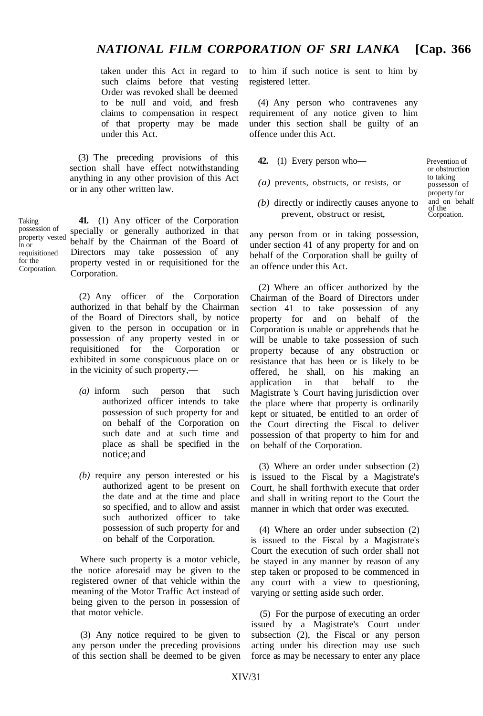taken under this Act in regard to such claims before that vesting Order was revoked shall be deemed to be null and void, and fresh claims to compensation in respect of that property may be made under this Act.

(3) The preceding provisions of this section shall have effect notwithstanding anything in any other provision of this Act or in any other written law.

Taking possession of property vested in or requisitioned for the Corporation.

**41.** (1) Any officer of the Corporation specially or generally authorized in that behalf by the Chairman of the Board of Directors may take possession of any property vested in or requisitioned for the Corporation.

(2) Any officer of the Corporation authorized in that behalf by the Chairman of the Board of Directors shall, by notice given to the person in occupation or in possession of any property vested in or requisitioned for the Corporation or exhibited in some conspicuous place on or in the vicinity of such property,—

- *(a)* inform such person that such authorized officer intends to take possession of such property for and on behalf of the Corporation on such date and at such time and place as shall be specified in the notice; and
- *(b)* require any person interested or his authorized agent to be present on the date and at the time and place so specified, and to allow and assist such authorized officer to take possession of such property for and on behalf of the Corporation.

Where such property is a motor vehicle, the notice aforesaid may be given to the registered owner of that vehicle within the meaning of the Motor Traffic Act instead of being given to the person in possession of that motor vehicle.

(3) Any notice required to be given to any person under the preceding provisions of this section shall be deemed to be given to him if such notice is sent to him by registered letter.

(4) Any person who contravenes any requirement of any notice given to him under this section shall be guilty of an offence under this Act.

- **42.** (1) Every person who— Prevention of
- $(a)$  prevents, obstructs, or resists, or possesson of
- $(b)$  directly or indirectly causes anyone to prevent, obstruct or resist,

or obstruction property for<br>and on behalf to taking of the<br>Corpoation.

any person from or in taking possession, under section 41 of any property for and on behalf of the Corporation shall be guilty of an offence under this Act.

(2) Where an officer authorized by the Chairman of the Board of Directors under section 41 to take possession of any property for and on behalf of the Corporation is unable or apprehends that he will be unable to take possession of such property because of any obstruction or resistance that has been or is likely to be offered, he shall, on his making an application in that behalf to the Magistrate 's Court having jurisdiction over the place where that property is ordinarily kept or situated, be entitled to an order of the Court directing the Fiscal to deliver possession of that property to him for and on behalf of the Corporation.

(3) Where an order under subsection (2) is issued to the Fiscal by a Magistrate's Court, he shall forthwith execute that order and shall in writing report to the Court the manner in which that order was executed.

(4) Where an order under subsection (2) is issued to the Fiscal by a Magistrate's Court the execution of such order shall not be stayed in any manner by reason of any step taken or proposed to be commenced in any court with a view to questioning, varying or setting aside such order.

(5) For the purpose of executing an order issued by a Magistrate's Court under subsection (2), the Fiscal or any person acting under his direction may use such force as may be necessary to enter any place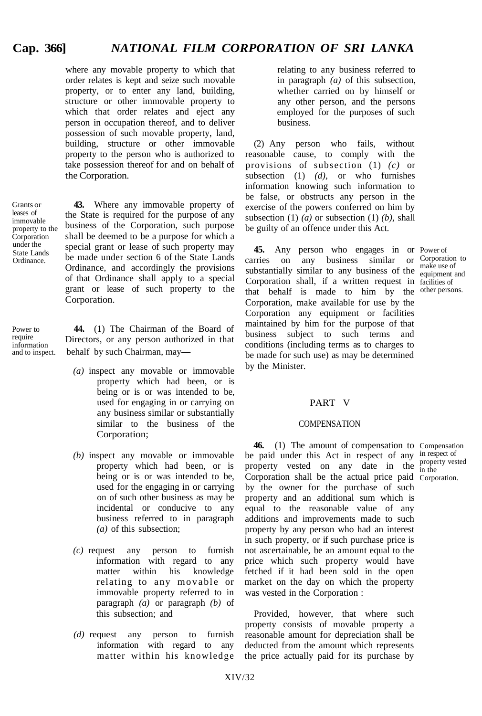where any movable property to which that order relates is kept and seize such movable property, or to enter any land, building, structure or other immovable property to which that order relates and eject any person in occupation thereof, and to deliver possession of such movable property, land, building, structure or other immovable property to the person who is authorized to take possession thereof for and on behalf of the Corporation.

**43.** Where any immovable property of

Grants or leases of immovable property to the Corporation under the State Lands Ordinance.

Power to require information<br>and to inspect.

the State is required for the purpose of any business of the Corporation, such purpose shall be deemed to be a purpose for which a special grant or lease of such property may be made under section 6 of the State Lands Ordinance, and accordingly the provisions of that Ordinance shall apply to a special grant or lease of such property to the Corporation.

behalf by such Chairman, may— **44.** (1) The Chairman of the Board of Directors, or any person authorized in that

- *(a)* inspect any movable or immovable property which had been, or is being or is or was intended to be, used for engaging in or carrying on any business similar or substantially similar to the business of the Corporation;
- *(b)* inspect any movable or immovable property which had been, or is being or is or was intended to be, used for the engaging in or carrying on of such other business as may be incidental or conducive to any business referred to in paragraph *(a)* of this subsection;
- *(c)* request any person to furnish information with regard to any matter within his knowledge relating to any movable or immovable property referred to in paragraph *(a)* or paragraph *(b)* of this subsection; and
- *(d)* request any person to furnish information with regard to any matter within his knowledge

relating to any business referred to in paragraph *(a)* of this subsection, whether carried on by himself or any other person, and the persons employed for the purposes of such business.

(2) Any person who fails, without reasonable cause, to comply with the provisions of subsection (1) *(c)* or subsection (1) *(d),* or who furnishes information knowing such information to be false, or obstructs any person in the exercise of the powers conferred on him by subsection (1) *(a)* or subsection (1) *(b),* shall be guilty of an offence under this Act.

**45.** Any person who engages in or Power of carries on any business similar or Corporation to substantially similar to any business of the  $\frac{make}{equiment}$ Corporation shall, if a written request in facilities of that behalf is made to him by the other persons. Corporation, make available for use by the Corporation any equipment or facilities maintained by him for the purpose of that business subject to such terms and conditions (including terms as to charges to be made for such use) as may be determined by the Minister.

equipment and

in the

### PART V

#### **COMPENSATION**

**46.** (1) The amount of compensation to Compensation be paid under this Act in respect of any in respect of property vested on any date in the  $_{\text{in the}}^{\text{property}}$  vested Corporation shall be the actual price paid Corporation. by the owner for the purchase of such property and an additional sum which is equal to the reasonable value of any additions and improvements made to such property by any person who had an interest in such property, or if such purchase price is not ascertainable, be an amount equal to the price which such property would have fetched if it had been sold in the open market on the day on which the property was vested in the Corporation :

Provided, however, that where such property consists of movable property a reasonable amount for depreciation shall be deducted from the amount which represents the price actually paid for its purchase by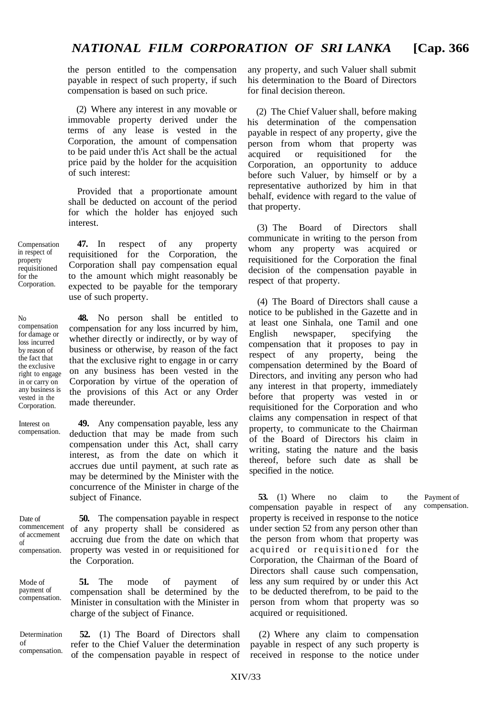the person entitled to the compensation payable in respect of such property, if such compensation is based on such price.

(2) Where any interest in any movable or immovable property derived under the terms of any lease is vested in the Corporation, the amount of compensation to be paid under th'is Act shall be the actual price paid by the holder for the acquisition of such interest:

Provided that a proportionate amount shall be deducted on account of the period for which the holder has enjoyed such interest.

**47.** In respect of any property requisitioned for the Corporation, the Corporation shall pay compensation equal to the amount which might reasonably be expected to be payable for the temporary use of such property.

**48.** No person shall be entitled to compensation for any loss incurred by him, whether directly or indirectly, or by way of business or otherwise, by reason of the fact that the exclusive right to engage in or carry on any business has been vested in the Corporation by virtue of the operation of the provisions of this Act or any Order made thereunder.

**49.** Any compensation payable, less any deduction that may be made from such compensation under this Act, shall carry interest, as from the date on which it accrues due until payment, at such rate as may be determined by the Minister with the concurrence of the Minister in charge of the subject of Finance.

Date of commencement of accmement of compensation.

**50.** The compensation payable in respect of any property shall be considered as accruing due from the date on which that property was vested in or requisitioned for the Corporation.

**51.** The mode of payment of compensation shall be determined by the Minister in consultation with the Minister in charge of the subject of Finance. payment of

Determination compensation. any property, and such Valuer shall submit his determination to the Board of Directors for final decision thereon.

(2) The Chief Valuer shall, before making his determination of the compensation payable in respect of any property, give the person from whom that property was acquired or requisitioned for the Corporation, an opportunity to adduce before such Valuer, by himself or by a representative authorized by him in that behalf, evidence with regard to the value of that property.

(3) The Board of Directors shall communicate in writing to the person from whom any property was acquired or requisitioned for the Corporation the final decision of the compensation payable in respect of that property.

(4) The Board of Directors shall cause a notice to be published in the Gazette and in at least one Sinhala, one Tamil and one English newspaper, specifying the compensation that it proposes to pay in respect of any property, being the compensation determined by the Board of Directors, and inviting any person who had any interest in that property, immediately before that property was vested in or requisitioned for the Corporation and who claims any compensation in respect of that property, to communicate to the Chairman of the Board of Directors his claim in writing, stating the nature and the basis thereof, before such date as shall be specified in the notice.

**53.** (1) Where no claim to the Payment of means of the Payment of  $\alpha$  any compensation. compensation payable in respect of any property is received in response to the notice under section 52 from any person other than the person from whom that property was acquired or requisitioned for the Corporation, the Chairman of the Board of Directors shall cause such compensation, less any sum required by or under this Act to be deducted therefrom, to be paid to the person from whom that property was so acquired or requisitioned.

**52.** (1) The Board of Directors shall (2) Where any claim to compensation refer to the Chief Valuer the determination payable in respect of any such property is of the compensation payable in respect of received in response to the notice under

Compensation in respect of property requisitioned for the Corporation.

No

loss incurred by reason of the fact that the exclusive right to engage in or carry on any business is vested in the Corporation.

compensation for damage or

Interest on compensation.

compensation.

Mode of

of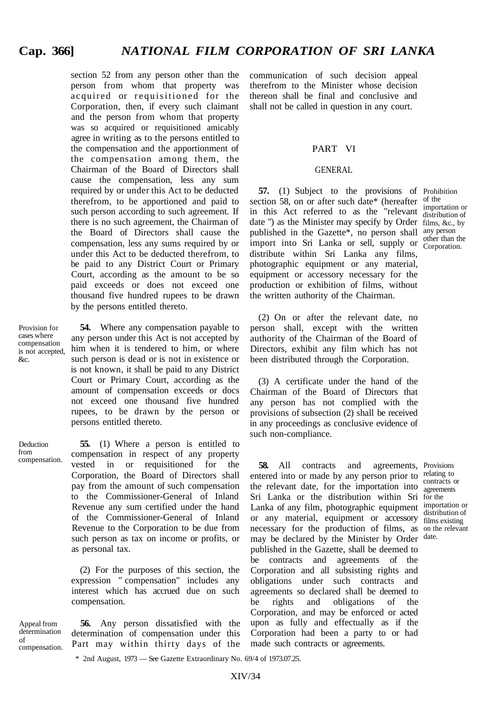section 52 from any person other than the person from whom that property was acquired or requisitioned for the Corporation, then, if every such claimant and the person from whom that property was so acquired or requisitioned amicably agree in writing as to the persons entitled to the compensation and the apportionment of the compensation among them, the Chairman of the Board of Directors shall cause the compensation, less any sum required by or under this Act to be deducted therefrom, to be apportioned and paid to such person according to such agreement. If there is no such agreement, the Chairman of the Board of Directors shall cause the compensation, less any sums required by or under this Act to be deducted therefrom, to be paid to any District Court or Primary Court, according as the amount to be so paid exceeds or does not exceed one thousand five hundred rupees to be drawn by the persons entitled thereto.

Provision for cases where compensation is not accepted, &c.

from

**54.** Where any compensation payable to any person under this Act is not accepted by him when it is tendered to him, or where such person is dead or is not in existence or is not known, it shall be paid to any District Court or Primary Court, according as the amount of compensation exceeds or docs not exceed one thousand five hundred rupees, to be drawn by the person or persons entitled thereto.

Deduction compensation. **55.** (1) Where a person is entitled to compensation in respect of any property vested in or requisitioned for the Corporation, the Board of Directors shall pay from the amount of such compensation to the Commissioner-General of Inland Revenue any sum certified under the hand of the Commissioner-General of Inland Revenue to the Corporation to be due from such person as tax on income or profits, or as personal tax.

> (2) For the purposes of this section, the expression " compensation" includes any interest which has accrued due on such compensation.

Appeal from determination of compensation.

**56.** Any person dissatisfied with the determination of compensation under this Part may within thirty days of the communication of such decision appeal therefrom to the Minister whose decision thereon shall be final and conclusive and shall not be called in question in any court.

#### PART VI

#### GENERAL

**57.** (1) Subject to the provisions of Prohibition section 58, on or after such date\* (hereafter of the in this Act referred to as the "relevant distribution of date ") as the Minister may specify by Order films, &c., by published in the Gazette\*, no person shall any person import into Sri Lanka or sell, supply or Corporation distribute within Sri Lanka any films, photographic equipment or any material, equipment or accessory necessary for the production or exhibition of films, without the written authority of the Chairman.

distribution of Corporation.

(2) On or after the relevant date, no person shall, except with the written authority of the Chairman of the Board of Directors, exhibit any film which has not been distributed through the Corporation.

(3) A certificate under the hand of the Chairman of the Board of Directors that any person has not complied with the provisions of subsection (2) shall be received in any proceedings as conclusive evidence of such non-compliance.

**58.** All contracts and entered into or made by any person prior to relating to the relevant date, for the importation into  $\frac{\text{contrast or}}{\text{normals}}$ Sri Lanka or the distribution within Sri for the Lanka of any film, photographic equipment importation or or any material, equipment or accessory films existing necessary for the production of films, as on the relevant may be declared by the Minister by Order date. published in the Gazette, shall be deemed to be contracts and agreements of the Corporation and all subsisting rights and obligations under such contracts and agreements so declared shall be deemed to be rights and obligations of the Corporation, and may be enforced or acted upon as fully and effectually as if the Corporation had been a party to or had made such contracts or agreements. agreements, Provisions

agreements distribution of

\* 2nd August, 1973 — See Gazette Extraordinary No. 69/4 of 1973.07.25.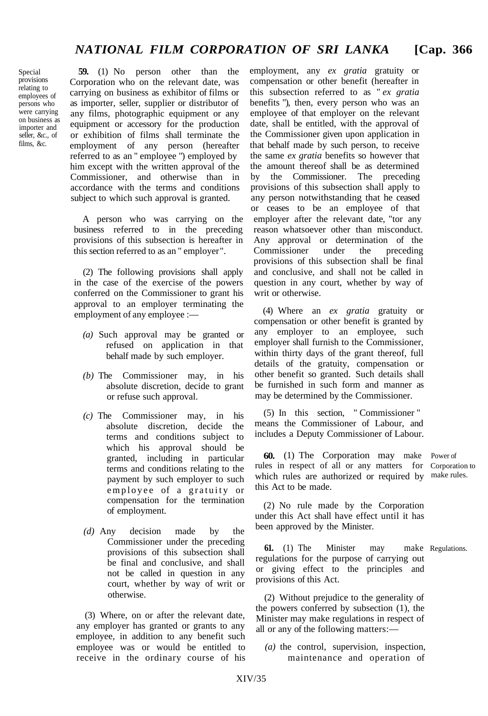Special provisions relating to employees of persons who were carrying on business as importer and seller, &c., of films, &c.

**59.** (1) No person other than the Corporation who on the relevant date, was carrying on business as exhibitor of films or as importer, seller, supplier or distributor of any films, photographic equipment or any equipment or accessory for the production or exhibition of films shall terminate the employment of any person (hereafter referred to as an " employee ") employed by him except with the written approval of the Commissioner, and otherwise than in accordance with the terms and conditions subject to which such approval is granted.

A person who was carrying on the business referred to in the preceding provisions of this subsection is hereafter in this section referred to as an " employer".

(2) The following provisions shall apply in the case of the exercise of the powers conferred on the Commissioner to grant his approval to an employer terminating the employment of any employee :—

- *(a)* Such approval may be granted or refused on application in that behalf made by such employer.
- *(b)* The Commissioner may, in his absolute discretion, decide to grant or refuse such approval.
- *(c)* The Commissioner may, in his absolute discretion, decide the terms and conditions subject to which his approval should be granted, including in particular terms and conditions relating to the payment by such employer to such employee of a gratuity or compensation for the termination of employment.
- *(d)* Any decision made by the Commissioner under the preceding provisions of this subsection shall be final and conclusive, and shall not be called in question in any court, whether by way of writ or otherwise.

(3) Where, on or after the relevant date, any employer has granted or grants to any employee, in addition to any benefit such employee was or would be entitled to receive in the ordinary course of his

employment, any *ex gratia* gratuity or compensation or other benefit (hereafter in this subsection referred to as " *ex gratia* benefits "), then, every person who was an employee of that employer on the relevant date, shall be entitled, with the approval of the Commissioner given upon application in that behalf made by such person, to receive the same *ex gratia* benefits so however that the amount thereof shall be as determined by the Commissioner. The preceding provisions of this subsection shall apply to any person notwithstanding that he ceased or ceases to be an employee of that employer after the relevant date, "tor any reason whatsoever other than misconduct. Any approval or determination of the Commissioner under the preceding provisions of this subsection shall be final and conclusive, and shall not be called in question in any court, whether by way of writ or otherwise.

(4) Where an *ex gratia* gratuity or compensation or other benefit is granted by any employer to an employee, such employer shall furnish to the Commissioner, within thirty days of the grant thereof, full details of the gratuity, compensation or other benefit so granted. Such details shall be furnished in such form and manner as may be determined by the Commissioner.

(5) In this section, " Commissioner " means the Commissioner of Labour, and includes a Deputy Commissioner of Labour.

**60.** (1) The Corporation may make Power of les in respect of all or any matters for Corporation to rules in respect of all or any matters for which rules are authorized or required by make rules.this Act to be made.

(2) No rule made by the Corporation under this Act shall have effect until it has been approved by the Minister.

**61.** (1) The Minister may make Regulations. regulations for the purpose of carrying out or giving effect to the principles and provisions of this Act.

(2) Without prejudice to the generality of the powers conferred by subsection (1), the Minister may make regulations in respect of all or any of the following matters:—

*(a)* the control, supervision, inspection, maintenance and operation of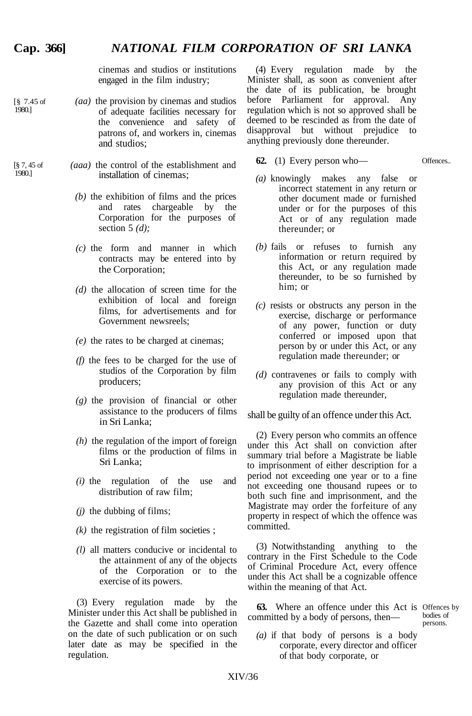## **Cap. 366]** *NATIONAL FILM CORPORATION OF SRI LANKA*

cinemas and studios or institutions engaged in the film industry;

- *(aa)* the provision by cinemas and studios of adequate facilities necessary for the convenience and safety of patrons of, and workers in, cinemas and studios; [§ 7.45 of 1980.]
- *(aaa)* the control of the establishment and installation of cinemas; [§ 7, 45 of 1980.]
	- *(b)* the exhibition of films and the prices and rates chargeable by the Corporation for the purposes of section 5 *(d);*
	- *(c)* the form and manner in which contracts may be entered into by the Corporation;
	- *(d)* the allocation of screen time for the exhibition of local and foreign films, for advertisements and for Government newsreels;
	- *(e)* the rates to be charged at cinemas;
	- *(f)* the fees to be charged for the use of studios of the Corporation by film producers;
	- *(g)* the provision of financial or other assistance to the producers of films in Sri Lanka;
	- *(h)* the regulation of the import of foreign films or the production of films in Sri Lanka;
	- *(i)* the regulation of the use and distribution of raw film;
	- *(j)* the dubbing of films;
	- $(k)$  the registration of film societies ;
	- *(l)* all matters conducive or incidental to the attainment of any of the objects of the Corporation or to the exercise of its powers.

(3) Every regulation made by the Minister under this Act shall be published in the Gazette and shall come into operation on the date of such publication or on such later date as may be specified in the regulation.

(4) Every regulation made by the Minister shall, as soon as convenient after the date of its publication, be brought before Parliament for approval. Any regulation which is not so approved shall be deemed to be rescinded as from the date of disapproval but without prejudice to anything previously done thereunder.

- **62.** (1) Every person who—
- Offences..

bodies of persons.

- *(a)* knowingly makes any false or incorrect statement in any return or other document made or furnished under or for the purposes of this Act or of any regulation made thereunder; or
- *(b)* fails or refuses to furnish any information or return required by this Act, or any regulation made thereunder, to be so furnished by him; or
- *(c)* resists or obstructs any person in the exercise, discharge or performance of any power, function or duty conferred or imposed upon that person by or under this Act, or any regulation made thereunder; or
- *(d)* contravenes or fails to comply with any provision of this Act or any regulation made thereunder,

shall be guilty of an offence under this Act.

(2) Every person who commits an offence under this Act shall on conviction after summary trial before a Magistrate be liable to imprisonment of either description for a period not exceeding one year or to a fine not exceeding one thousand rupees or to both such fine and imprisonment, and the Magistrate may order the forfeiture of any property in respect of which the offence was committed.

(3) Notwithstanding anything to the contrary in the First Schedule to the Code of Criminal Procedure Act, every offence under this Act shall be a cognizable offence within the meaning of that Act.

**63.** Where an offence under this Act is Offences by committed by a body of persons, then—

*(a)* if that body of persons is a body corporate, every director and officer of that body corporate, or